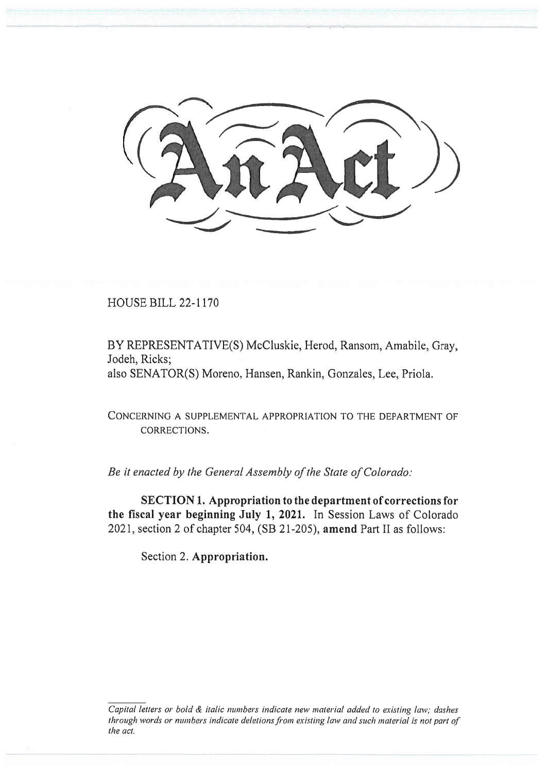

HOUSE BILL 22-1170

BY REPRESENTATIVE(S) McCluskie, Herod, Ransom, Amabile, Gray, Jodeh, Ricks; also SENATOR(S) Moreno, Hansen, Rankin, Gonzales, Lee, Priola.

CONCERNING A SUPPLEMENTAL APPROPRIATION TO THE DEPARTMENT OF CORRECTIONS.

Be it enacted by the General Assembly of the State of Colorado:

SECTION 1. Appropriation to the department of corrections for the fiscal year beginning July 1, 2021. In Session Laws of Colorado 2021, section 2 of chapter 504, (SB 21-205), amend Part II as follows:

Section 2. Appropriation.

Capital letters or bold & italic numbers indicate new material added to existing law; dashes through words or numbers indicate deletions from existing law and such material is not part of the act.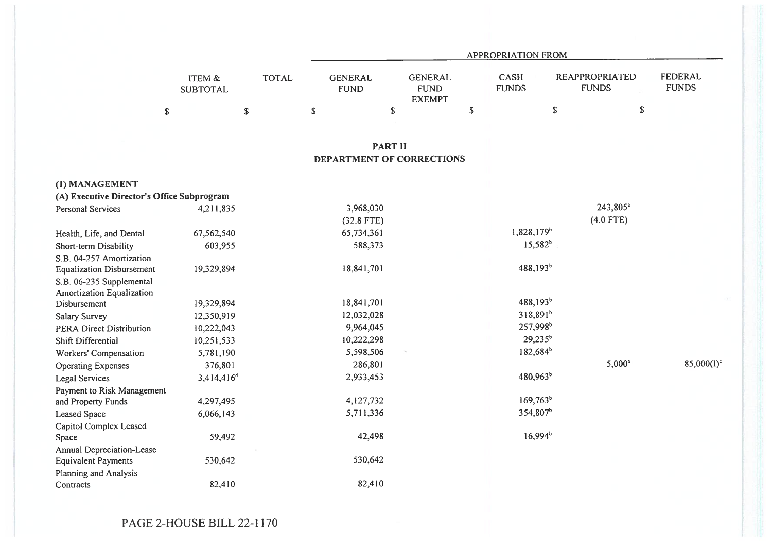|                                            |                           |              |                               |                                                |             | <b>APPROPRIATION FROM</b>   |                                       |                                |
|--------------------------------------------|---------------------------|--------------|-------------------------------|------------------------------------------------|-------------|-----------------------------|---------------------------------------|--------------------------------|
|                                            | ITEM &<br><b>SUBTOTAL</b> | <b>TOTAL</b> | <b>GENERAL</b><br><b>FUND</b> | <b>GENERAL</b><br><b>FUND</b><br><b>EXEMPT</b> |             | <b>CASH</b><br><b>FUNDS</b> | <b>REAPPROPRIATED</b><br><b>FUNDS</b> | <b>FEDERAL</b><br><b>FUNDS</b> |
|                                            | $\mathbb S$               | $\mathbb S$  | \$                            | \$                                             | $\mathbb S$ |                             | \$                                    | $\mathbb{S}$                   |
|                                            |                           |              |                               | <b>PART II</b>                                 |             |                             |                                       |                                |
|                                            |                           |              |                               | DEPARTMENT OF CORRECTIONS                      |             |                             |                                       |                                |
| (1) MANAGEMENT                             |                           |              |                               |                                                |             |                             |                                       |                                |
| (A) Executive Director's Office Subprogram |                           |              |                               |                                                |             |                             |                                       |                                |
| <b>Personal Services</b>                   | 4,211,835                 |              | 3,968,030                     |                                                |             |                             | 243,805 <sup>a</sup>                  |                                |
|                                            |                           |              | $(32.8$ FTE)                  |                                                |             |                             | $(4.0$ FTE)                           |                                |
| Health, Life, and Dental                   | 67,562,540                |              | 65,734,361                    |                                                |             | 1,828,179 <sup>b</sup>      |                                       |                                |
| Short-term Disability                      | 603,955                   |              | 588,373                       |                                                |             | $15,582^{b}$                |                                       |                                |
| S.B. 04-257 Amortization                   |                           |              |                               |                                                |             |                             |                                       |                                |
| <b>Equalization Disbursement</b>           | 19,329,894                |              | 18,841,701                    |                                                |             | $488,193^b$                 |                                       |                                |
| S.B. 06-235 Supplemental                   |                           |              |                               |                                                |             |                             |                                       |                                |
| Amortization Equalization                  |                           |              |                               |                                                |             | $488,193^{b}$               |                                       |                                |
| <b>Disbursement</b>                        | 19,329,894                |              | 18,841,701                    |                                                |             | $318,891^{b}$               |                                       |                                |
| <b>Salary Survey</b>                       | 12,350,919                |              | 12,032,028                    |                                                |             |                             |                                       |                                |
| PERA Direct Distribution                   | 10,222,043                |              | 9,964,045                     |                                                |             | 257,998 <sup>b</sup>        |                                       |                                |
| Shift Differential                         | 10,251,533                |              | 10,222,298                    |                                                |             | $29,235^b$                  |                                       |                                |
| Workers' Compensation                      | 5,781,190                 |              | 5,598,506                     |                                                |             | 182,684 <sup>b</sup>        |                                       |                                |
| <b>Operating Expenses</b>                  | 376,801                   |              | 286,801                       |                                                |             |                             | $5,000^a$                             | $85,000(1)^c$                  |
| <b>Legal Services</b>                      | 3,414,416 <sup>d</sup>    |              | 2,933,453                     |                                                |             | 480,963 <sup>b</sup>        |                                       |                                |
| Payment to Risk Management                 |                           |              |                               |                                                |             |                             |                                       |                                |
| and Property Funds                         | 4,297,495                 |              | 4,127,732                     |                                                |             | $169,763^b$                 |                                       |                                |
| <b>Leased Space</b>                        | 6,066,143                 |              | 5,711,336                     |                                                |             | 354,807 <sup>b</sup>        |                                       |                                |
| Capitol Complex Leased                     |                           |              |                               |                                                |             |                             |                                       |                                |
| Space                                      | 59,492                    |              | 42,498                        |                                                |             | $16,994^b$                  |                                       |                                |
| Annual Depreciation-Lease                  |                           |              |                               |                                                |             |                             |                                       |                                |
| <b>Equivalent Payments</b>                 | 530,642                   |              | 530,642                       |                                                |             |                             |                                       |                                |
| Planning and Analysis                      |                           |              |                               |                                                |             |                             |                                       |                                |
| Contracts                                  | 82,410                    |              | 82,410                        |                                                |             |                             |                                       |                                |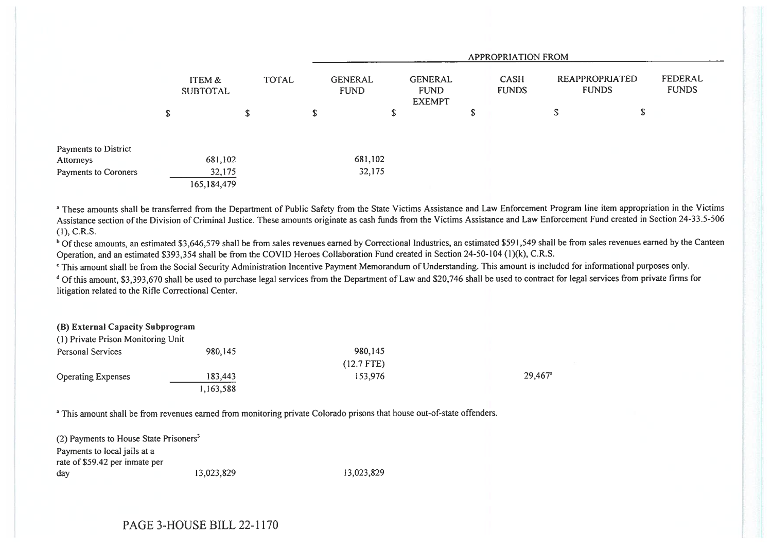|                      |                           |              |   | APPROPRIATION FROM            |                                                |    |                                                        |    |    |                         |  |  |
|----------------------|---------------------------|--------------|---|-------------------------------|------------------------------------------------|----|--------------------------------------------------------|----|----|-------------------------|--|--|
|                      | ITEM &<br><b>SUBTOTAL</b> | <b>TOTAL</b> |   | <b>GENERAL</b><br><b>FUND</b> | <b>GENERAL</b><br><b>FUND</b><br><b>EXEMPT</b> |    | REAPPROPRIATED<br>CASH<br><b>FUNDS</b><br><b>FUNDS</b> |    |    | FEDERAL<br><b>FUNDS</b> |  |  |
|                      | \$                        | \$           | S |                               | S                                              | \$ |                                                        | D. | \$ |                         |  |  |
| Payments to District |                           |              |   |                               |                                                |    |                                                        |    |    |                         |  |  |
| Attorneys            | 681,102                   |              |   | 681,102                       |                                                |    |                                                        |    |    |                         |  |  |
| Payments to Coroners | 32,175                    |              |   | 32,175                        |                                                |    |                                                        |    |    |                         |  |  |
|                      | 165,184,479               |              |   |                               |                                                |    |                                                        |    |    |                         |  |  |

<sup>a</sup> These amounts shall be transferred from the Department of Public Safety from the State Victims Assistance and Law Enforcement Program line item appropriation in the Victims Assistance section of the Division of Criminal Justice. These amounts originate as cash funds from the Victims Assistance and Law Enforcement Fund created in Section 24-33.5-506  $(1)$ , C.R.S.

<sup>b</sup> Of these amounts, an estimated \$3,646,579 shall be from sales revenues earned by Correctional Industries, an estimated \$591,549 shall be from sales revenues earned by the Canteen Operation, and an estimated \$393,354 shall be from the COVID Heroes Collaboration Fund created in Section 24-50-104 (1)(k), C.R.S.

' This amount shall be from the Social Security Administration Incentive Payment Memorandum of Understanding. This amount is included for informational purposes only.

<sup>d</sup> Of this amount, \$3,393,670 shall be used to purchase legal services from the Department of Law and \$20,746 shall be used to contract for legal services from private firms for litigation related to the Rifle Correctional Center.

## (B) External Capacity Subprogram (I) Private Prison Monitoring Unit

| (1) Private Prison Monitoring Unit |           |              |                       |
|------------------------------------|-----------|--------------|-----------------------|
| Personal Services                  | 980,145   | 980.145      |                       |
|                                    |           | $(12.7$ FTE) |                       |
| <b>Operating Expenses</b>          | 183,443   | 153,976      | $29.467$ <sup>a</sup> |
|                                    | 1,163,588 |              |                       |

<sup>a</sup> This amount shall be from revenues earned from monitoring private Colorado prisons that house out-of-state offenders.

(2) Payments to House State Prisoners' Payments to local jails at a rate of \$59.42 per inmate per day 13,023,829 13,023,829

PAGE 3-HOUSE BILL 22-1170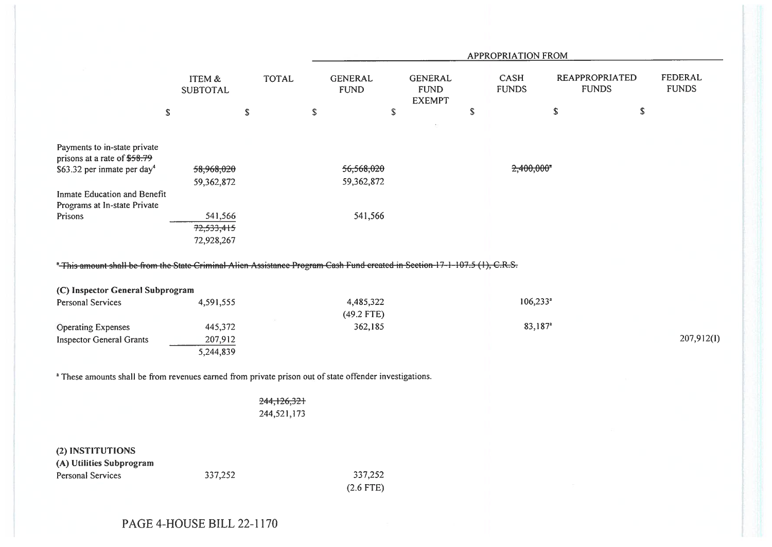|                                                                                                                             |                                      |                            |                               | <b>APPROPRIATION FROM</b>                      |    |                          |                                       |                         |  |  |  |  |  |
|-----------------------------------------------------------------------------------------------------------------------------|--------------------------------------|----------------------------|-------------------------------|------------------------------------------------|----|--------------------------|---------------------------------------|-------------------------|--|--|--|--|--|
|                                                                                                                             | <b>ITEM &amp;</b><br><b>SUBTOTAL</b> | <b>TOTAL</b>               | <b>GENERAL</b><br><b>FUND</b> | <b>GENERAL</b><br><b>FUND</b><br><b>EXEMPT</b> |    | CASH<br><b>FUNDS</b>     | <b>REAPPROPRIATED</b><br><b>FUNDS</b> | FEDERAL<br><b>FUNDS</b> |  |  |  |  |  |
| $\mathbb S$                                                                                                                 | $\mathbb S$                          |                            | ${\mathbb S}$                 | ${\mathbb S}$                                  | \$ |                          | \$<br>${\mathbb S}$                   |                         |  |  |  |  |  |
|                                                                                                                             |                                      |                            |                               |                                                |    |                          |                                       |                         |  |  |  |  |  |
| Payments to in-state private<br>prisons at a rate of \$58.79                                                                |                                      |                            |                               |                                                |    |                          |                                       |                         |  |  |  |  |  |
| \$63.32 per inmate per day <sup>4</sup>                                                                                     | 58,968,020                           |                            | 56,568,020                    |                                                |    | $2,400,000$ <sup>a</sup> |                                       |                         |  |  |  |  |  |
| Inmate Education and Benefit<br>Programs at In-state Private                                                                | 59,362,872                           |                            | 59,362,872                    |                                                |    |                          |                                       |                         |  |  |  |  |  |
| Prisons                                                                                                                     | 541,566<br>72,533,415<br>72,928,267  |                            | 541,566                       |                                                |    |                          |                                       |                         |  |  |  |  |  |
| *-This amount shall be from the State Criminal Alien Assistance Program Cash Fund created in Section 17-1-107.5 (1), C.R.S. |                                      |                            |                               |                                                |    |                          |                                       |                         |  |  |  |  |  |
| (C) Inspector General Subprogram                                                                                            |                                      |                            |                               |                                                |    |                          |                                       |                         |  |  |  |  |  |
| <b>Personal Services</b>                                                                                                    | 4,591,555                            |                            | 4,485,322<br>(49.2 FTE)       |                                                |    | $106,233$ <sup>a</sup>   |                                       |                         |  |  |  |  |  |
| <b>Operating Expenses</b>                                                                                                   | 445,372                              |                            | 362,185                       |                                                |    | 83,187 <sup>a</sup>      |                                       |                         |  |  |  |  |  |
| <b>Inspector General Grants</b>                                                                                             | 207,912<br>5,244,839                 |                            |                               |                                                |    |                          |                                       | 207,912(I)              |  |  |  |  |  |
| <sup>a</sup> These amounts shall be from revenues earned from private prison out of state offender investigations.          |                                      |                            |                               |                                                |    |                          |                                       |                         |  |  |  |  |  |
|                                                                                                                             |                                      | 244,126,321<br>244,521,173 |                               |                                                |    |                          |                                       |                         |  |  |  |  |  |
| (2) INSTITUTIONS<br>(A) Utilities Subprogram                                                                                |                                      |                            |                               |                                                |    |                          |                                       |                         |  |  |  |  |  |
| <b>Personal Services</b>                                                                                                    | 337,252                              |                            | 337,252<br>$(2.6$ FTE)        |                                                |    |                          |                                       |                         |  |  |  |  |  |
|                                                                                                                             |                                      |                            |                               |                                                |    |                          |                                       |                         |  |  |  |  |  |

PAGE 4-HOUSE BILL 22-1170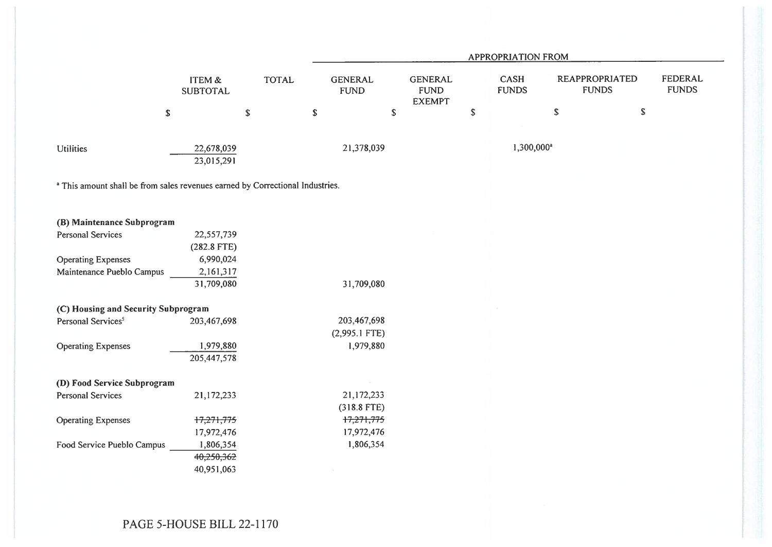|                                                                               |                           |              | APPROPRIATION FROM            |             |                                                |             |                             |                                       |             |                                |  |
|-------------------------------------------------------------------------------|---------------------------|--------------|-------------------------------|-------------|------------------------------------------------|-------------|-----------------------------|---------------------------------------|-------------|--------------------------------|--|
|                                                                               | ITEM &<br><b>SUBTOTAL</b> | <b>TOTAL</b> | <b>GENERAL</b><br><b>FUND</b> |             | <b>GENERAL</b><br><b>FUND</b><br><b>EXEMPT</b> |             | <b>CASH</b><br><b>FUNDS</b> | <b>REAPPROPRIATED</b><br><b>FUNDS</b> |             | <b>FEDERAL</b><br><b>FUNDS</b> |  |
| \$                                                                            |                           | $\mathbb S$  | $\mathbb S$                   | $\mathbb S$ |                                                | $\mathbb S$ |                             | \$                                    | $\mathbb S$ |                                |  |
| <b>Utilities</b>                                                              | 22,678,039<br>23,015,291  |              | 21,378,039                    |             |                                                |             | $1,300,000^a$               |                                       |             |                                |  |
| a This amount shall be from sales revenues earned by Correctional Industries. |                           |              |                               |             |                                                |             |                             |                                       |             |                                |  |
| (B) Maintenance Subprogram                                                    |                           |              |                               |             |                                                |             |                             |                                       |             |                                |  |
| <b>Personal Services</b>                                                      | 22,557,739                |              |                               |             |                                                |             |                             |                                       |             |                                |  |
|                                                                               | $(282.8$ FTE)             |              |                               |             |                                                |             |                             |                                       |             |                                |  |
| <b>Operating Expenses</b>                                                     | 6,990,024                 |              |                               |             |                                                |             |                             |                                       |             |                                |  |
| Maintenance Pueblo Campus                                                     | 2,161,317                 |              |                               |             |                                                |             |                             |                                       |             |                                |  |
|                                                                               | 31,709,080                |              | 31,709,080                    |             |                                                |             |                             |                                       |             |                                |  |
| (C) Housing and Security Subprogram                                           |                           |              |                               |             |                                                |             |                             |                                       |             |                                |  |
| Personal Services <sup>5</sup>                                                | 203,467,698               |              | 203,467,698                   |             |                                                |             |                             |                                       |             |                                |  |
|                                                                               |                           |              | $(2,995.1$ FTE)               |             |                                                |             |                             |                                       |             |                                |  |
| <b>Operating Expenses</b>                                                     | 1,979,880                 |              | 1,979,880                     |             |                                                |             |                             |                                       |             |                                |  |
|                                                                               | 205,447,578               |              |                               |             |                                                |             |                             |                                       |             |                                |  |
| (D) Food Service Subprogram                                                   |                           |              |                               |             |                                                |             |                             |                                       |             |                                |  |
| <b>Personal Services</b>                                                      | 21,172,233                |              | 21,172,233                    |             |                                                |             |                             |                                       |             |                                |  |
|                                                                               |                           |              | $(318.8$ FTE)                 |             |                                                |             |                             |                                       |             |                                |  |
| <b>Operating Expenses</b>                                                     | 17,271,775                |              | 17,271,775                    |             |                                                |             |                             |                                       |             |                                |  |
|                                                                               | 17,972,476                |              | 17,972,476                    |             |                                                |             |                             |                                       |             |                                |  |
| Food Service Pueblo Campus                                                    | 1,806,354                 |              | 1,806,354                     |             |                                                |             |                             |                                       |             |                                |  |
|                                                                               | 40,250,362                |              |                               |             |                                                |             |                             |                                       |             |                                |  |
|                                                                               | 40,951,063                |              |                               |             |                                                |             |                             |                                       |             |                                |  |
|                                                                               |                           |              |                               |             |                                                |             |                             |                                       |             |                                |  |

PAGE 5-HOUSE BILL 22-1170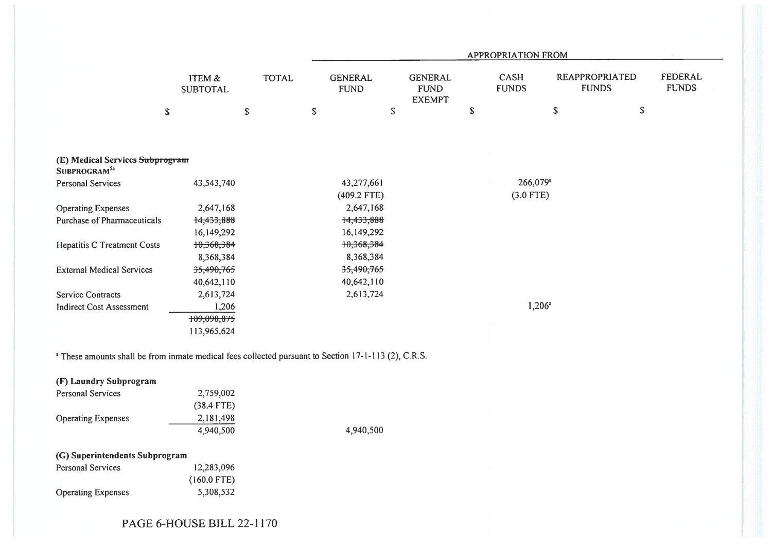|                                                                                                                 |                                 |              |                               | APPROPRIATION FROM                             |    |                                     |                                       |                         |  |  |  |  |  |
|-----------------------------------------------------------------------------------------------------------------|---------------------------------|--------------|-------------------------------|------------------------------------------------|----|-------------------------------------|---------------------------------------|-------------------------|--|--|--|--|--|
|                                                                                                                 | ITEM &<br><b>SUBTOTAL</b>       | <b>TOTAL</b> | <b>GENERAL</b><br><b>FUND</b> | <b>GENERAL</b><br><b>FUND</b><br><b>EXEMPT</b> |    | CASH<br><b>FUNDS</b>                | <b>REAPPROPRIATED</b><br><b>FUNDS</b> | FEDERAL<br><b>FUNDS</b> |  |  |  |  |  |
|                                                                                                                 | \$<br>\$                        |              | ${\mathbb S}$                 | $\mathbb S$                                    | \$ |                                     | $\mathbb S$                           | $\mathbb S$             |  |  |  |  |  |
| (E) Medical Services Subprogram                                                                                 |                                 |              |                               |                                                |    |                                     |                                       |                         |  |  |  |  |  |
| SUBPROGRAM <sup>5a</sup>                                                                                        |                                 |              |                               |                                                |    |                                     |                                       |                         |  |  |  |  |  |
| <b>Personal Services</b>                                                                                        | 43,543,740                      |              | 43,277,661<br>(409.2 FTE)     |                                                |    | 266,079 <sup>a</sup><br>$(3.0$ FTE) |                                       |                         |  |  |  |  |  |
| <b>Operating Expenses</b>                                                                                       | 2,647,168                       |              | 2,647,168                     |                                                |    |                                     |                                       |                         |  |  |  |  |  |
| Purchase of Pharmaceuticals                                                                                     | 14,433,888                      |              | 14,433,888                    |                                                |    |                                     |                                       |                         |  |  |  |  |  |
|                                                                                                                 | 16,149,292                      |              | 16,149,292                    |                                                |    |                                     |                                       |                         |  |  |  |  |  |
| <b>Hepatitis C Treatment Costs</b>                                                                              | 10,368,384                      |              | 10,368,384                    |                                                |    |                                     |                                       |                         |  |  |  |  |  |
|                                                                                                                 | 8,368,384                       |              | 8,368,384                     |                                                |    |                                     |                                       |                         |  |  |  |  |  |
| <b>External Medical Services</b>                                                                                | 35,490,765                      |              | 35,490,765                    |                                                |    |                                     |                                       |                         |  |  |  |  |  |
|                                                                                                                 | 40,642,110                      |              | 40,642,110                    |                                                |    |                                     |                                       |                         |  |  |  |  |  |
| <b>Service Contracts</b>                                                                                        | 2,613,724                       |              | 2,613,724                     |                                                |    |                                     |                                       |                         |  |  |  |  |  |
| <b>Indirect Cost Assessment</b>                                                                                 | 1,206                           |              |                               |                                                |    | $1,206^a$                           |                                       |                         |  |  |  |  |  |
|                                                                                                                 | 109,098,875                     |              |                               |                                                |    |                                     |                                       |                         |  |  |  |  |  |
|                                                                                                                 | 113,965,624                     |              |                               |                                                |    |                                     |                                       |                         |  |  |  |  |  |
| <sup>a</sup> These amounts shall be from inmate medical fees collected pursuant to Section 17-1-113 (2), C.R.S. |                                 |              |                               |                                                |    |                                     |                                       |                         |  |  |  |  |  |
| (F) Laundry Subprogram                                                                                          |                                 |              |                               |                                                |    |                                     |                                       |                         |  |  |  |  |  |
| <b>Personal Services</b>                                                                                        | 2,759,002                       |              |                               |                                                |    |                                     |                                       |                         |  |  |  |  |  |
|                                                                                                                 | $(38.4$ FTE)                    |              |                               |                                                |    |                                     |                                       |                         |  |  |  |  |  |
| <b>Operating Expenses</b>                                                                                       | 2,181,498                       |              |                               |                                                |    |                                     |                                       |                         |  |  |  |  |  |
|                                                                                                                 | 4,940,500                       |              | 4,940,500                     |                                                |    |                                     |                                       |                         |  |  |  |  |  |
| (G) Superintendents Subprogram                                                                                  |                                 |              |                               |                                                |    |                                     |                                       |                         |  |  |  |  |  |
| Personal Services                                                                                               | 12,283,096                      |              |                               |                                                |    |                                     |                                       |                         |  |  |  |  |  |
|                                                                                                                 | $(160.0$ FTE)                   |              |                               |                                                |    |                                     |                                       |                         |  |  |  |  |  |
| <b>Operating Expenses</b>                                                                                       | 5,308,532                       |              |                               |                                                |    |                                     |                                       |                         |  |  |  |  |  |
|                                                                                                                 | $PAGE$ $GLMISE$ RII $1$ 22.1170 |              |                               |                                                |    |                                     |                                       |                         |  |  |  |  |  |

## PAGE 6-HOUSE BILL 22-1170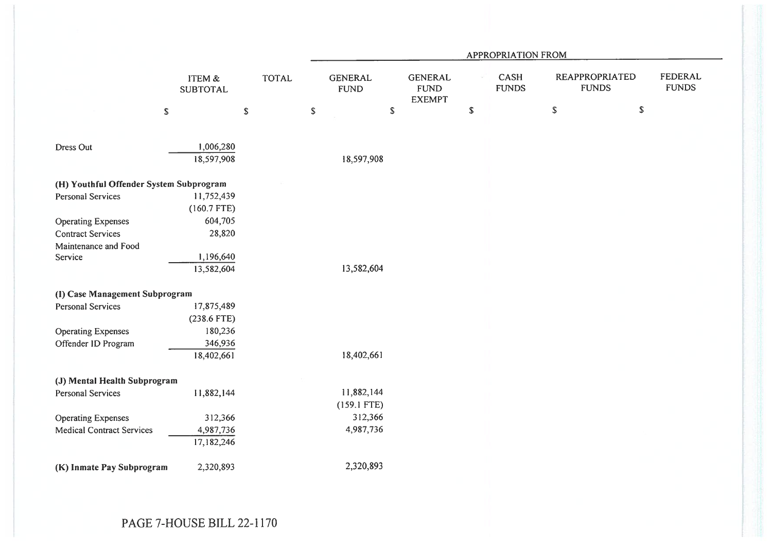|                                         |                                      |              | APPROPRIATION FROM            |               |                                                |             |                      |               |                                       |                                |  |
|-----------------------------------------|--------------------------------------|--------------|-------------------------------|---------------|------------------------------------------------|-------------|----------------------|---------------|---------------------------------------|--------------------------------|--|
|                                         | <b>ITEM &amp;</b><br><b>SUBTOTAL</b> | <b>TOTAL</b> | <b>GENERAL</b><br><b>FUND</b> |               | <b>GENERAL</b><br><b>FUND</b><br><b>EXEMPT</b> |             | CASH<br><b>FUNDS</b> |               | <b>REAPPROPRIATED</b><br><b>FUNDS</b> | <b>FEDERAL</b><br><b>FUNDS</b> |  |
|                                         | ${\mathbb S}$                        | $\mathbb S$  | $\mathbb S$                   | ${\mathbb S}$ |                                                | $\mathbb S$ |                      | ${\mathbb S}$ | \$                                    |                                |  |
|                                         |                                      |              |                               |               |                                                |             |                      |               |                                       |                                |  |
| Dress Out                               | 1,006,280<br>18,597,908              |              | 18,597,908                    |               |                                                |             |                      |               |                                       |                                |  |
| (H) Youthful Offender System Subprogram |                                      |              |                               |               |                                                |             |                      |               |                                       |                                |  |
| <b>Personal Services</b>                | 11,752,439                           |              |                               |               |                                                |             |                      |               |                                       |                                |  |
|                                         | $(160.7$ FTE)                        |              |                               |               |                                                |             |                      |               |                                       |                                |  |
| <b>Operating Expenses</b>               | 604,705                              |              |                               |               |                                                |             |                      |               |                                       |                                |  |
| <b>Contract Services</b>                | 28,820                               |              |                               |               |                                                |             |                      |               |                                       |                                |  |
| Maintenance and Food                    |                                      |              |                               |               |                                                |             |                      |               |                                       |                                |  |
| Service                                 | 1,196,640                            |              |                               |               |                                                |             |                      |               |                                       |                                |  |
|                                         | 13,582,604                           |              | 13,582,604                    |               |                                                |             |                      |               |                                       |                                |  |
| (I) Case Management Subprogram          |                                      |              |                               |               |                                                |             |                      |               |                                       |                                |  |
| <b>Personal Services</b>                | 17,875,489                           |              |                               |               |                                                |             |                      |               |                                       |                                |  |
|                                         | $(238.6$ FTE)                        |              |                               |               |                                                |             |                      |               |                                       |                                |  |
| <b>Operating Expenses</b>               | 180,236                              |              |                               |               |                                                |             |                      |               |                                       |                                |  |
| Offender ID Program                     | 346,936                              |              |                               |               |                                                |             |                      |               |                                       |                                |  |
|                                         | 18,402,661                           |              | 18,402,661                    |               |                                                |             |                      |               |                                       |                                |  |
| (J) Mental Health Subprogram            |                                      |              |                               |               |                                                |             |                      |               |                                       |                                |  |
| <b>Personal Services</b>                | 11,882,144                           |              | 11,882,144                    |               |                                                |             |                      |               |                                       |                                |  |
|                                         |                                      |              | $(159.1$ FTE)                 |               |                                                |             |                      |               |                                       |                                |  |
| <b>Operating Expenses</b>               | 312,366                              |              | 312,366                       |               |                                                |             |                      |               |                                       |                                |  |
| <b>Medical Contract Services</b>        | 4,987,736                            |              | 4,987,736                     |               |                                                |             |                      |               |                                       |                                |  |
|                                         | 17,182,246                           |              |                               |               |                                                |             |                      |               |                                       |                                |  |
| (K) Inmate Pay Subprogram               | 2,320,893                            |              | 2,320,893                     |               |                                                |             |                      |               |                                       |                                |  |
|                                         |                                      |              |                               |               |                                                |             |                      |               |                                       |                                |  |
|                                         |                                      |              |                               |               |                                                |             |                      |               |                                       |                                |  |
|                                         |                                      |              |                               |               |                                                |             |                      |               |                                       |                                |  |

PAGE 7-HOUSE BILL 22-1170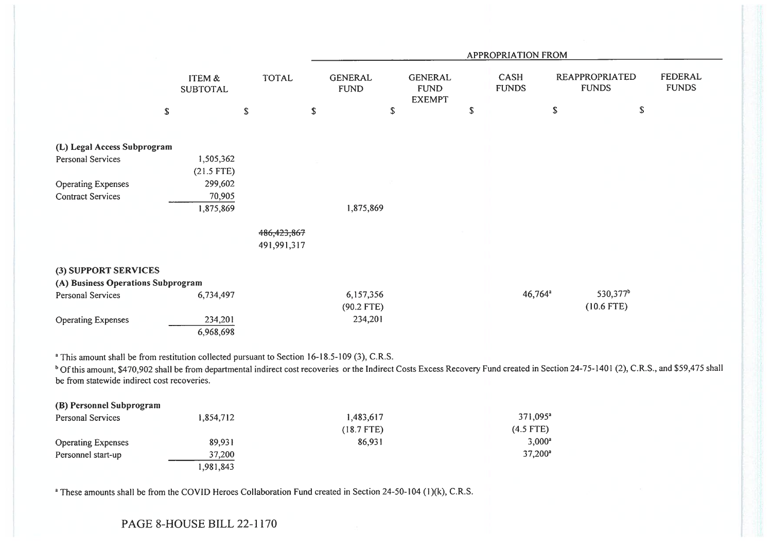|                                                                                                          |                                      |               |               | <b>APPROPRIATION FROM</b>     |                                                |    |                             |    |                                       |                         |  |  |
|----------------------------------------------------------------------------------------------------------|--------------------------------------|---------------|---------------|-------------------------------|------------------------------------------------|----|-----------------------------|----|---------------------------------------|-------------------------|--|--|
|                                                                                                          | <b>ITEM &amp;</b><br><b>SUBTOTAL</b> |               | <b>TOTAL</b>  | <b>GENERAL</b><br><b>FUND</b> | <b>GENERAL</b><br><b>FUND</b><br><b>EXEMPT</b> |    | <b>CASH</b><br><b>FUNDS</b> |    | <b>REAPPROPRIATED</b><br><b>FUNDS</b> | FEDERAL<br><b>FUNDS</b> |  |  |
| $\mathbb S$                                                                                              |                                      | ${\mathbb S}$ |               | \$<br>\$                      |                                                | \$ |                             | \$ | $\mathbb S$                           |                         |  |  |
| (L) Legal Access Subprogram                                                                              |                                      |               |               |                               |                                                |    |                             |    |                                       |                         |  |  |
| Personal Services                                                                                        | 1,505,362<br>$(21.5$ FTE)            |               |               |                               |                                                |    |                             |    |                                       |                         |  |  |
| <b>Operating Expenses</b>                                                                                | 299,602                              |               |               |                               |                                                |    |                             |    |                                       |                         |  |  |
| <b>Contract Services</b>                                                                                 | 70,905                               |               |               |                               |                                                |    |                             |    |                                       |                         |  |  |
|                                                                                                          | 1,875,869                            |               |               | 1,875,869                     |                                                |    |                             |    |                                       |                         |  |  |
|                                                                                                          |                                      |               | 486, 423, 867 |                               |                                                |    |                             |    |                                       |                         |  |  |
|                                                                                                          |                                      |               | 491,991,317   |                               |                                                |    |                             |    |                                       |                         |  |  |
| (3) SUPPORT SERVICES                                                                                     |                                      |               |               |                               |                                                |    |                             |    |                                       |                         |  |  |
| (A) Business Operations Subprogram                                                                       |                                      |               |               |                               |                                                |    |                             |    |                                       |                         |  |  |
| Personal Services                                                                                        | 6,734,497                            |               |               | 6,157,356                     |                                                |    | $46,764^a$                  |    | 530,377 <sup>b</sup>                  |                         |  |  |
|                                                                                                          |                                      |               |               | $(90.2$ FTE)                  |                                                |    |                             |    | $(10.6$ FTE)                          |                         |  |  |
| <b>Operating Expenses</b>                                                                                | 234,201                              |               |               | 234,201                       |                                                |    |                             |    |                                       |                         |  |  |
|                                                                                                          | 6,968,698                            |               |               |                               |                                                |    |                             |    |                                       |                         |  |  |
|                                                                                                          |                                      |               |               |                               |                                                |    |                             |    |                                       |                         |  |  |
| <sup>a</sup> This amount shall be from restitution collected pursuant to Section 16-18.5-109 (3), C.R.S. |                                      |               |               |                               |                                                |    |                             |    |                                       |                         |  |  |

<sup>b</sup> Of this amount, \$470,902 shall be from departmental indirect cost recoveries or the Indirect Costs Excess Recovery Fund created in Section 24-75-1401 (2), C.R.S., and \$59,475 shall be from statewide indirect cost recoveries.

| (B) Personnel Subprogram  |           |              |                      |
|---------------------------|-----------|--------------|----------------------|
| <b>Personal Services</b>  | 1,854,712 | 1,483,617    | 371,095 <sup>a</sup> |
|                           |           | $(18.7$ FTE) | $(4.5$ FTE)          |
| <b>Operating Expenses</b> | 89,931    | 86,931       | $3.000^a$            |
| Personnel start-up        | 37,200    |              | $37,200^{\circ}$     |
|                           | 1,981,843 |              |                      |

<sup>a</sup> These amounts shall be from the COVID Heroes Collaboration Fund created in Section 24-50-104 (1)(k), C.R.S.

PAGE 8-HOUSE BILL 22-1170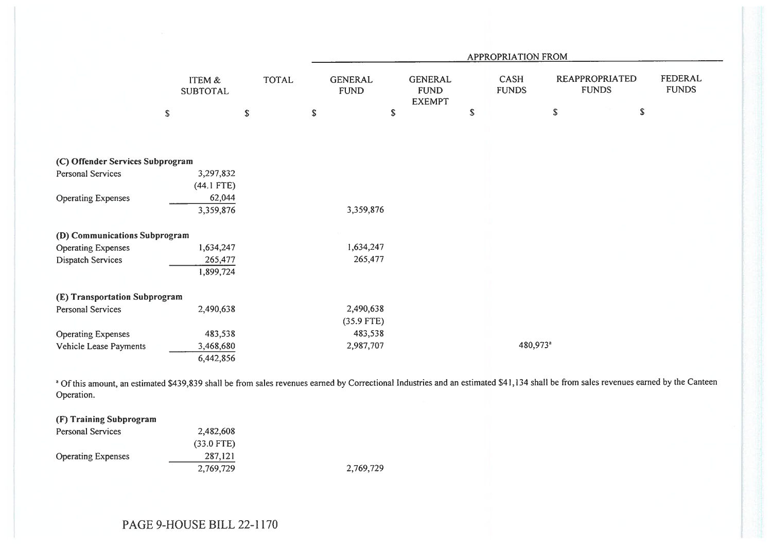|                                  |                                      |              |                               | APPROPRIATION FROM                             |             |                             |                                |                                |  |  |  |  |  |
|----------------------------------|--------------------------------------|--------------|-------------------------------|------------------------------------------------|-------------|-----------------------------|--------------------------------|--------------------------------|--|--|--|--|--|
|                                  | <b>ITEM &amp;</b><br><b>SUBTOTAL</b> | <b>TOTAL</b> | <b>GENERAL</b><br><b>FUND</b> | <b>GENERAL</b><br><b>FUND</b><br><b>EXEMPT</b> |             | <b>CASH</b><br><b>FUNDS</b> | REAPPROPRIATED<br><b>FUNDS</b> | <b>FEDERAL</b><br><b>FUNDS</b> |  |  |  |  |  |
|                                  | $\mathbb{S}$                         | $\$$         | ${\mathbb S}$                 | $\mathbb{S}$                                   | $\mathsf S$ |                             | \$                             | $\mathbb S$                    |  |  |  |  |  |
|                                  |                                      |              |                               |                                                |             |                             |                                |                                |  |  |  |  |  |
| (C) Offender Services Subprogram |                                      |              |                               |                                                |             |                             |                                |                                |  |  |  |  |  |
| Personal Services                | 3,297,832                            |              |                               |                                                |             |                             |                                |                                |  |  |  |  |  |
|                                  | $(44.1$ FTE)                         |              |                               |                                                |             |                             |                                |                                |  |  |  |  |  |
| <b>Operating Expenses</b>        | 62,044                               |              |                               |                                                |             |                             |                                |                                |  |  |  |  |  |
|                                  | 3,359,876                            |              | 3,359,876                     |                                                |             |                             |                                |                                |  |  |  |  |  |
| (D) Communications Subprogram    |                                      |              |                               |                                                |             |                             |                                |                                |  |  |  |  |  |
| <b>Operating Expenses</b>        | 1,634,247                            |              | 1,634,247                     |                                                |             |                             |                                |                                |  |  |  |  |  |
| Dispatch Services                | 265,477                              |              | 265,477                       |                                                |             |                             |                                |                                |  |  |  |  |  |
|                                  | 1,899,724                            |              |                               |                                                |             |                             |                                |                                |  |  |  |  |  |
| (E) Transportation Subprogram    |                                      |              |                               |                                                |             |                             |                                |                                |  |  |  |  |  |
| Personal Services                | 2,490,638                            |              | 2,490,638                     |                                                |             |                             |                                |                                |  |  |  |  |  |
|                                  |                                      |              | $(35.9$ FTE)                  |                                                |             |                             |                                |                                |  |  |  |  |  |
| <b>Operating Expenses</b>        | 483,538                              |              | 483,538                       |                                                |             |                             |                                |                                |  |  |  |  |  |
| Vehicle Lease Payments           | 3,468,680                            |              | 2,987,707                     |                                                |             | 480,973 <sup>a</sup>        |                                |                                |  |  |  |  |  |
|                                  | 6,442,856                            |              |                               |                                                |             |                             |                                |                                |  |  |  |  |  |

<sup>a</sup> Of this amount, an estimated \$439,839 shall be from sales revenues earned by Correctional Industries and an estimated \$41,134 shall be from sales revenues earned by the Canteen Operation.

| (F) Training Subprogram   |              |           |
|---------------------------|--------------|-----------|
| <b>Personal Services</b>  | 2,482,608    |           |
|                           | $(33.0$ FTE) |           |
| <b>Operating Expenses</b> | 287,121      |           |
|                           | 2,769,729    | 2,769,729 |

PAGE 9-HOUSE BILL 22-1170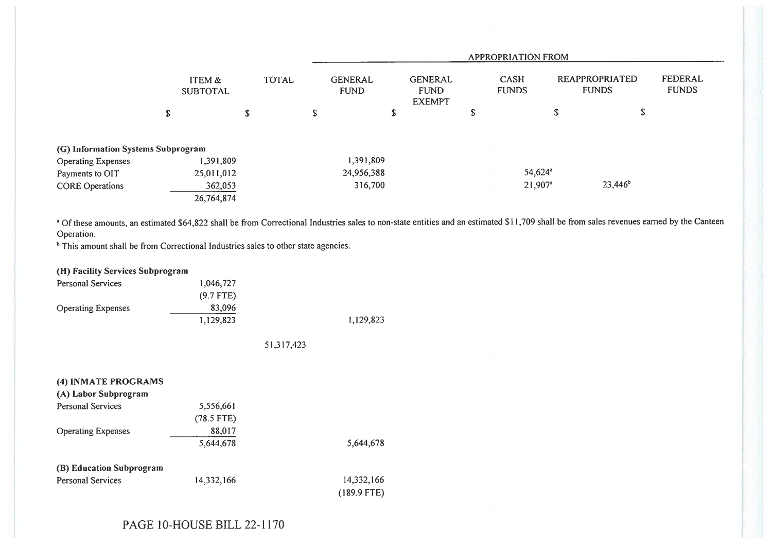|                                    |                           |            |              |   |                               |   |                                                | <b>APPROPRIATION FROM</b>                                     |    |            |                                |
|------------------------------------|---------------------------|------------|--------------|---|-------------------------------|---|------------------------------------------------|---------------------------------------------------------------|----|------------|--------------------------------|
|                                    | ITEM &<br><b>SUBTOTAL</b> |            | <b>TOTAL</b> |   | <b>GENERAL</b><br><b>FUND</b> |   | <b>GENERAL</b><br><b>FUND</b><br><b>EXEMPT</b> | REAPPROPRIATED<br><b>CASH</b><br><b>FUNDS</b><br><b>FUNDS</b> |    |            | <b>FEDERAL</b><br><b>FUNDS</b> |
|                                    | $\mathbb S$               | \$         |              | S |                               | S |                                                | \$                                                            | \$ | J          |                                |
| (G) Information Systems Subprogram |                           |            |              |   |                               |   |                                                |                                                               |    |            |                                |
| <b>Operating Expenses</b>          |                           | ,391,809   |              |   | 1,391,809                     |   |                                                |                                                               |    |            |                                |
| Payments to OIT                    |                           | 25,011,012 |              |   | 24,956,388                    |   |                                                | 54,624 <sup>a</sup>                                           |    |            |                                |
| <b>CORE Operations</b>             |                           | 362,053    |              |   | 316,700                       |   |                                                | $21,907^a$                                                    |    | $23,446^b$ |                                |
|                                    |                           | 26,764,874 |              |   |                               |   |                                                |                                                               |    |            |                                |

<sup>a</sup> Of these amounts, an estimated \$64,822 shall be from Correctional Industries sales to non-state entities and an estimated \$11,709 shall be from sales revenues earned by the Canteen Operation.

<sup>b</sup> This amount shall be from Correctional Industries sales to other state agencies.

| (H) Facility Services Subprogram |              |            |               |
|----------------------------------|--------------|------------|---------------|
| <b>Personal Services</b>         | 1,046,727    |            |               |
|                                  | $(9.7$ FTE)  |            |               |
| <b>Operating Expenses</b>        | 83,096       |            |               |
|                                  | 1,129,823    |            | 1,129,823     |
|                                  |              |            |               |
|                                  |              | 51,317,423 |               |
|                                  |              |            |               |
|                                  |              |            |               |
| (4) INMATE PROGRAMS              |              |            |               |
| (A) Labor Subprogram             |              |            |               |
| <b>Personal Services</b>         | 5,556,661    |            |               |
|                                  | $(78.5$ FTE) |            |               |
| <b>Operating Expenses</b>        | 88,017       |            |               |
|                                  | 5,644,678    |            | 5,644,678     |
| (B) Education Subprogram         |              |            |               |
|                                  |              |            | 14,332,166    |
| <b>Personal Services</b>         | 14,332,166   |            |               |
|                                  |              |            | $(189.9$ FTE) |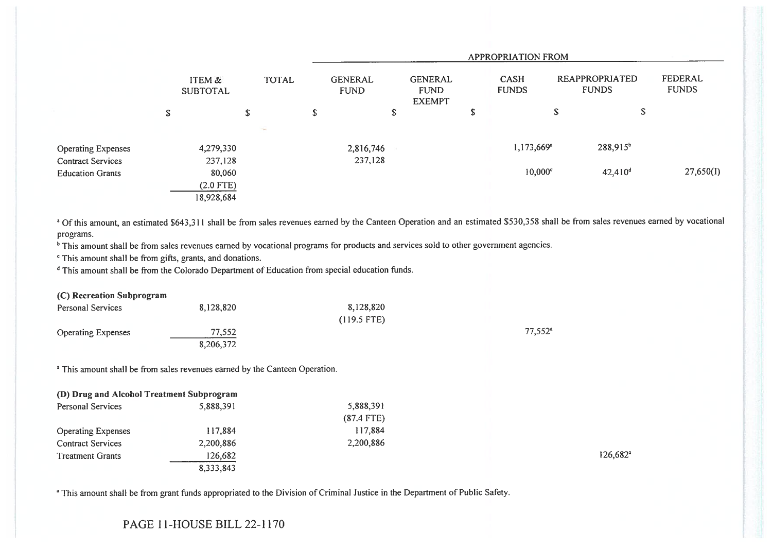|                           |                           |              |   |                               |                                                | APPROPRIATION FROM          |                                |                         |
|---------------------------|---------------------------|--------------|---|-------------------------------|------------------------------------------------|-----------------------------|--------------------------------|-------------------------|
|                           | ITEM &<br><b>SUBTOTAL</b> | <b>TOTAL</b> |   | <b>GENERAL</b><br><b>FUND</b> | <b>GENERAL</b><br><b>FUND</b><br><b>EXEMPT</b> | <b>CASH</b><br><b>FUNDS</b> | REAPPROPRIATED<br><b>FUNDS</b> | FEDERAL<br><b>FUNDS</b> |
|                           | \$<br>\$                  |              | S |                               | \$                                             | \$                          | \$<br>\$                       |                         |
|                           |                           | $\sim$       |   |                               |                                                |                             |                                |                         |
| <b>Operating Expenses</b> | 4,279,330                 |              |   | 2,816,746                     |                                                | $1,173,669^a$               | 288,915 <sup>b</sup>           |                         |
| <b>Contract Services</b>  | 237,128                   |              |   | 237,128                       |                                                |                             |                                |                         |
| <b>Education Grants</b>   | 80,060                    |              |   |                               |                                                | $10,000^{\circ}$            | 42,410 <sup>d</sup>            | 27,650(I)               |
|                           | $(2.0$ FTE)               |              |   |                               |                                                |                             |                                |                         |
|                           | 18,928,684                |              |   |                               |                                                |                             |                                |                         |

<sup>a</sup> Of this amount, an estimated \$643,311 shall be from sales revenues earned by the Canteen Operation and an estimated \$530,358 shall be from sales revenues earned by vocational programs.

<sup>b</sup> This amount shall be from sales revenues earned by vocational programs for products and services sold to other government agencies.

' This amount shall be from gifts, grants, and donations.

<sup>d</sup> This amount shall be from the Colorado Department of Education from special education funds.

| (C) Recreation Subprogram |           |               |                  |
|---------------------------|-----------|---------------|------------------|
| <b>Personal Services</b>  | 8,128,820 | 8,128,820     |                  |
|                           |           | $(119.5$ FTE) |                  |
| <b>Operating Expenses</b> | 77.552    |               | $77,552^{\circ}$ |
|                           | 8,206,372 |               |                  |

<sup>a</sup> This amount shall be from sales revenues earned by the Canteen Operation.

| (D) Drug and Alcohol Treatment Subprogram |           |              |
|-------------------------------------------|-----------|--------------|
| <b>Personal Services</b>                  | 5,888,391 | 5,888,391    |
|                                           |           | $(87.4$ FTE) |
| <b>Operating Expenses</b>                 | 117,884   | 117,884      |
| <b>Contract Services</b>                  | 2,200,886 | 2,200,886    |
| <b>Treatment Grants</b>                   | 126,682   |              |
|                                           | 8,333,843 |              |

126,682'

<sup>a</sup> This amount shall be from grant funds appropriated to the Division of Criminal Justice in the Department of Public Safety.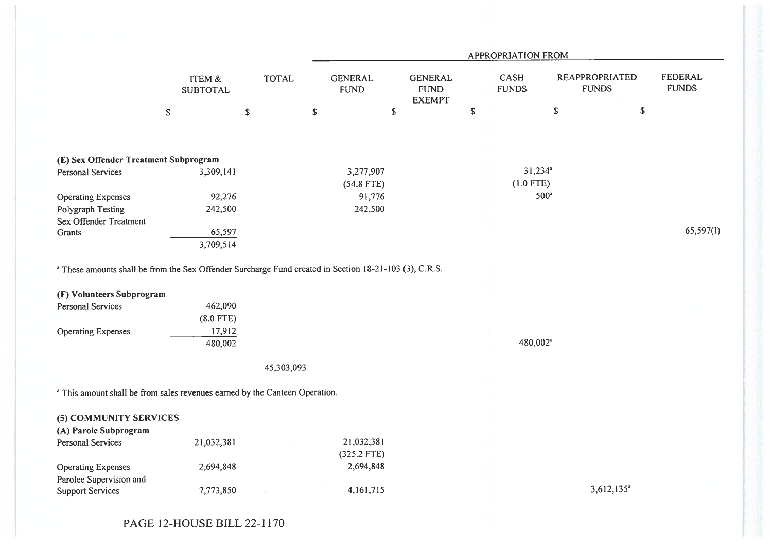|                                                                                                                                                                                                         |                                             |              |                               |                                                | APPROPRIATION FROM          |                                       |                                |
|---------------------------------------------------------------------------------------------------------------------------------------------------------------------------------------------------------|---------------------------------------------|--------------|-------------------------------|------------------------------------------------|-----------------------------|---------------------------------------|--------------------------------|
|                                                                                                                                                                                                         | ITEM &<br><b>SUBTOTAL</b>                   | <b>TOTAL</b> | <b>GENERAL</b><br><b>FUND</b> | <b>GENERAL</b><br><b>FUND</b><br><b>EXEMPT</b> | <b>CASH</b><br><b>FUNDS</b> | <b>REAPPROPRIATED</b><br><b>FUNDS</b> | <b>FEDERAL</b><br><b>FUNDS</b> |
|                                                                                                                                                                                                         | $\mathbb{S}$<br>$\mathbb S$                 |              | $\mathbb S$                   | $\mathbb S$                                    | \$                          | $\mathbb S$<br>$\mathbb S$            |                                |
|                                                                                                                                                                                                         |                                             |              |                               |                                                |                             |                                       |                                |
| (E) Sex Offender Treatment Subprogram                                                                                                                                                                   |                                             |              |                               |                                                |                             |                                       |                                |
| <b>Personal Services</b>                                                                                                                                                                                | 3,309,141                                   |              | 3,277,907                     |                                                | $31,234$ <sup>a</sup>       |                                       |                                |
|                                                                                                                                                                                                         |                                             |              | $(54.8$ FTE)                  |                                                | $(1.0$ FTE)                 |                                       |                                |
| <b>Operating Expenses</b>                                                                                                                                                                               | 92,276                                      |              | 91,776                        |                                                | 500 <sup>a</sup>            |                                       |                                |
| Polygraph Testing                                                                                                                                                                                       | 242,500                                     |              | 242,500                       |                                                |                             |                                       |                                |
| Sex Offender Treatment                                                                                                                                                                                  |                                             |              |                               |                                                |                             |                                       |                                |
| <b>Grants</b>                                                                                                                                                                                           | 65,597                                      |              |                               |                                                |                             |                                       | 65,597(1)                      |
|                                                                                                                                                                                                         | 3,709,514                                   |              |                               |                                                |                             |                                       |                                |
| <sup>a</sup> These amounts shall be from the Sex Offender Surcharge Fund created in Section 18-21-103 (3), C.R.S.<br>(F) Volunteers Subprogram<br><b>Personal Services</b><br><b>Operating Expenses</b> | 462,090<br>$(8.0$ FTE)<br>17,912<br>480,002 |              |                               |                                                | 480,002 <sup>a</sup>        |                                       |                                |
|                                                                                                                                                                                                         |                                             | 45,303,093   |                               |                                                |                             |                                       |                                |
| <sup>a</sup> This amount shall be from sales revenues earned by the Canteen Operation.                                                                                                                  |                                             |              |                               |                                                |                             |                                       |                                |
| (5) COMMUNITY SERVICES<br>(A) Parole Subprogram                                                                                                                                                         |                                             |              |                               |                                                |                             |                                       |                                |
| Personal Services                                                                                                                                                                                       | 21,032,381                                  |              | 21,032,381                    |                                                |                             |                                       |                                |
|                                                                                                                                                                                                         |                                             |              | $(325.2$ FTE)                 |                                                |                             |                                       |                                |
| <b>Operating Expenses</b>                                                                                                                                                                               | 2,694,848                                   |              | 2,694,848                     |                                                |                             |                                       |                                |
| Parolee Supervision and                                                                                                                                                                                 |                                             |              |                               |                                                |                             |                                       |                                |
| <b>Support Services</b>                                                                                                                                                                                 | 7,773,850                                   |              | 4,161,715                     |                                                |                             | $3,612,135$ <sup>a</sup>              |                                |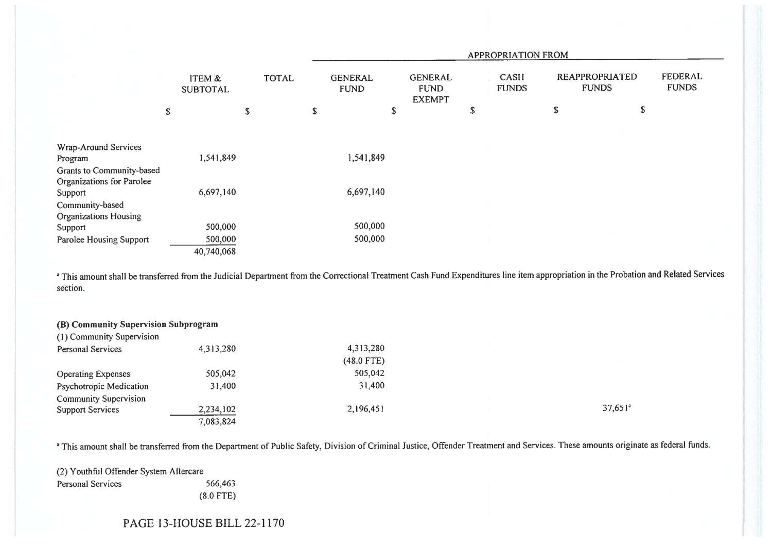|                                                        |                           |              |                               |                                                | APPROPRIATION FROM   |                                |                                |
|--------------------------------------------------------|---------------------------|--------------|-------------------------------|------------------------------------------------|----------------------|--------------------------------|--------------------------------|
|                                                        | ITEM &<br><b>SUBTOTAL</b> | <b>TOTAL</b> | <b>GENERAL</b><br><b>FUND</b> | <b>GENERAL</b><br><b>FUND</b><br><b>EXEMPT</b> | CASH<br><b>FUNDS</b> | REAPPROPRIATED<br><b>FUNDS</b> | <b>FEDERAL</b><br><b>FUNDS</b> |
|                                                        | \$                        | $\mathbb S$  | \$                            | \$                                             | \$                   | \$<br>\$                       |                                |
| Wrap-Around Services                                   |                           |              |                               |                                                |                      |                                |                                |
| Program                                                | 1,541,849                 |              | 1,541,849                     |                                                |                      |                                |                                |
| Grants to Community-based<br>Organizations for Parolee |                           |              |                               |                                                |                      |                                |                                |
| Support                                                | 6,697,140                 |              | 6,697,140                     |                                                |                      |                                |                                |
| Community-based<br><b>Organizations Housing</b>        |                           |              |                               |                                                |                      |                                |                                |
| Support                                                | 500,000                   |              | 500,000                       |                                                |                      |                                |                                |
| Parolee Housing Support                                | 500,000                   |              | 500,000                       |                                                |                      |                                |                                |
|                                                        | 40,740,068                |              |                               |                                                |                      |                                |                                |

<sup>a</sup> This amount shall be transferred from the Judicial Department from the Correctional Treatment Cash Fund Expenditures line item appropriation in the Probation and Related Services section.

| (B) Community Supervision Subprogram<br>(1) Community Supervision |           |              |            |
|-------------------------------------------------------------------|-----------|--------------|------------|
| <b>Personal Services</b>                                          | 4,313,280 | 4,313,280    |            |
|                                                                   |           | $(48.0$ FTE) |            |
| <b>Operating Expenses</b>                                         | 505,042   | 505,042      |            |
| <b>Psychotropic Medication</b>                                    | 31,400    | 31,400       |            |
| <b>Community Supervision</b>                                      |           |              |            |
| <b>Support Services</b>                                           | 2,234,102 | 2,196,451    | $37,651^a$ |
|                                                                   | 7,083,824 |              |            |

<sup>a</sup> This amount shall be transferred from the Department of Public Safety, Division of Criminal Justice, Offender Treatment and Services. These amounts originate as federal funds.

(2) Youthful Offender System Aftercare Personal Services 566,463 (8.0 FTE)

## PAGE 13-HOUSE BILL 22-1170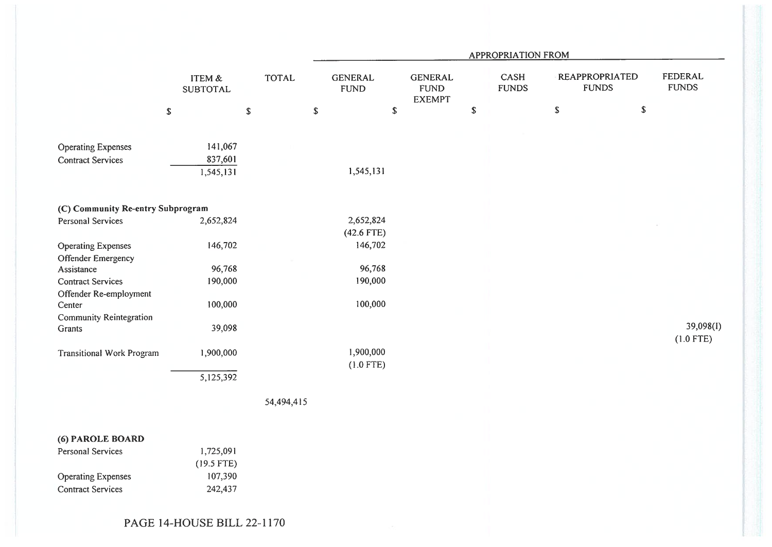|                                                       |                                      |              |                               |                                                |             | <b>APPROPRIATION FROM</b>   |                                       |               |                                |
|-------------------------------------------------------|--------------------------------------|--------------|-------------------------------|------------------------------------------------|-------------|-----------------------------|---------------------------------------|---------------|--------------------------------|
|                                                       | <b>ITEM &amp;</b><br><b>SUBTOTAL</b> | <b>TOTAL</b> | <b>GENERAL</b><br><b>FUND</b> | <b>GENERAL</b><br><b>FUND</b><br><b>EXEMPT</b> |             | <b>CASH</b><br><b>FUNDS</b> | <b>REAPPROPRIATED</b><br><b>FUNDS</b> |               | <b>FEDERAL</b><br><b>FUNDS</b> |
|                                                       | $\mathbb S$                          | \$           | $\mathbb S$                   | $\mathbb S$                                    | $\mathbb S$ |                             | \$                                    | ${\mathbb S}$ |                                |
|                                                       |                                      |              |                               |                                                |             |                             |                                       |               |                                |
| <b>Operating Expenses</b>                             | 141,067                              |              |                               |                                                |             |                             |                                       |               |                                |
| <b>Contract Services</b>                              | 837,601<br>1,545,131                 |              | 1,545,131                     |                                                |             |                             |                                       |               |                                |
|                                                       |                                      |              |                               |                                                |             |                             |                                       |               |                                |
| (C) Community Re-entry Subprogram                     |                                      |              |                               |                                                |             |                             |                                       |               |                                |
| <b>Personal Services</b>                              | 2,652,824                            |              | 2,652,824                     |                                                |             |                             |                                       |               |                                |
|                                                       |                                      |              | $(42.6$ FTE)                  |                                                |             |                             |                                       |               |                                |
| <b>Operating Expenses</b>                             | 146,702                              |              | 146,702                       |                                                |             |                             |                                       |               |                                |
| Offender Emergency<br>Assistance                      | 96,768                               |              | 96,768                        |                                                |             |                             |                                       |               |                                |
| <b>Contract Services</b>                              | 190,000                              |              | 190,000                       |                                                |             |                             |                                       |               |                                |
| Offender Re-employment                                |                                      |              |                               |                                                |             |                             |                                       |               |                                |
| Center<br><b>Community Reintegration</b>              | 100,000                              |              | 100,000                       |                                                |             |                             |                                       |               |                                |
| Grants                                                | 39,098                               |              |                               |                                                |             |                             |                                       |               | 39,098(I)                      |
|                                                       |                                      |              |                               |                                                |             |                             |                                       |               | $(1.0$ FTE)                    |
| <b>Transitional Work Program</b>                      | 1,900,000                            |              | 1,900,000                     |                                                |             |                             |                                       |               |                                |
|                                                       | 5,125,392                            |              | $(1.0$ FTE)                   |                                                |             |                             |                                       |               |                                |
|                                                       |                                      |              |                               |                                                |             |                             |                                       |               |                                |
|                                                       |                                      | 54,494,415   |                               |                                                |             |                             |                                       |               |                                |
|                                                       |                                      |              |                               |                                                |             |                             |                                       |               |                                |
| (6) PAROLE BOARD                                      |                                      |              |                               |                                                |             |                             |                                       |               |                                |
| <b>Personal Services</b>                              | 1,725,091                            |              |                               |                                                |             |                             |                                       |               |                                |
|                                                       | $(19.5$ FTE)                         |              |                               |                                                |             |                             |                                       |               |                                |
| <b>Operating Expenses</b><br><b>Contract Services</b> | 107,390                              |              |                               |                                                |             |                             |                                       |               |                                |
|                                                       | 242,437                              |              |                               |                                                |             |                             |                                       |               |                                |
|                                                       |                                      |              |                               |                                                |             |                             |                                       |               |                                |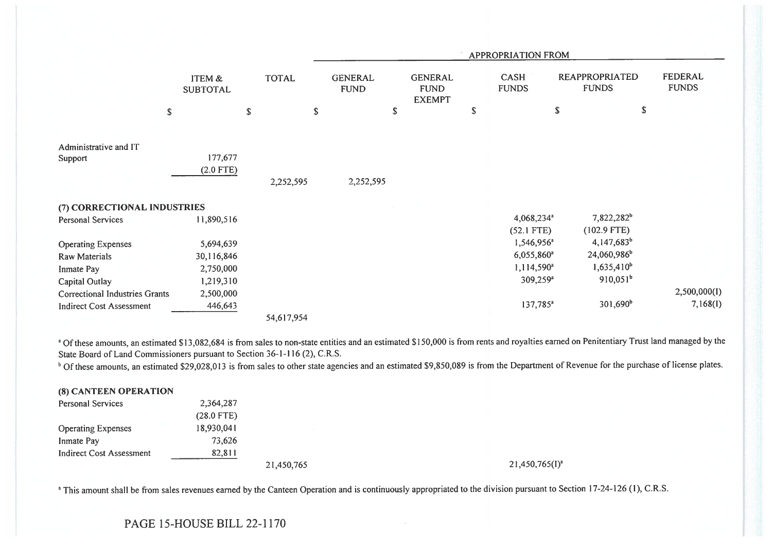|                                  |                           |   |              |                               |                                                | APPROPRIATION FROM                     |                                         |                         |
|----------------------------------|---------------------------|---|--------------|-------------------------------|------------------------------------------------|----------------------------------------|-----------------------------------------|-------------------------|
|                                  | ITEM &<br><b>SUBTOTAL</b> |   | <b>TOTAL</b> | <b>GENERAL</b><br><b>FUND</b> | <b>GENERAL</b><br><b>FUND</b><br><b>EXEMPT</b> | <b>CASH</b><br><b>FUNDS</b>            | <b>REAPPROPRIATED</b><br><b>FUNDS</b>   | FEDERAL<br><b>FUNDS</b> |
|                                  | \$                        | S | $\mathbb{S}$ |                               | \$                                             | \$                                     | \$<br>${\mathbb S}$                     |                         |
| Administrative and IT<br>Support | 177,677<br>$(2.0$ FTE)    |   | 2,252,595    | 2,252,595                     |                                                |                                        |                                         |                         |
| (7) CORRECTIONAL INDUSTRIES      |                           |   |              |                               |                                                |                                        |                                         |                         |
| Personal Services                | 11,890,516                |   |              |                               |                                                | 4,068,234 <sup>a</sup><br>$(52.1$ FTE) | 7,822,282 <sup>b</sup><br>$(102.9$ FTE) |                         |
| <b>Operating Expenses</b>        | 5,694,639                 |   |              |                               |                                                | 1,546,956 <sup>a</sup>                 | $4,147,683^b$                           |                         |
| <b>Raw Materials</b>             | 30,116,846                |   |              |                               |                                                | 6,055,860 <sup>a</sup>                 | 24,060,986 <sup>b</sup>                 |                         |
| Inmate Pay                       | 2,750,000                 |   |              |                               |                                                | $1,114,590^a$                          | $1,635,410^b$                           |                         |
| Capital Outlay                   | 1,219,310                 |   |              |                               |                                                | 309,259 <sup>a</sup>                   | $910,051^b$                             |                         |
| Correctional Industries Grants   | 2,500,000                 |   |              |                               |                                                |                                        |                                         | 2,500,000(I)            |
| <b>Indirect Cost Assessment</b>  | 446,643                   |   |              |                               |                                                | 137,785 <sup>a</sup>                   | $301,690^b$                             | 7,168(1)                |
|                                  |                           |   | 54,617,954   |                               |                                                |                                        |                                         |                         |

<sup>a</sup> Of these amounts, an estimated \$13,082,684 is from sales to non-state entities and an estimated \$150,000 is from rents and royalties earned on Penitentiary Trust land managed by the State Board of Land Commissioners pursuant to Section 36-1-116 (2), C.R.S.

<sup>b</sup> Of these amounts, an estimated \$29,028,013 is from sales to other state agencies and an estimated \$9,850,089 is from the Department of Revenue for the purchase of license plates.

| (8) CANTEEN OPERATION     |              |            |                     |
|---------------------------|--------------|------------|---------------------|
| Personal Services         | 2,364,287    |            |                     |
|                           | $(28.0$ FTE) |            |                     |
| <b>Operating Expenses</b> | 18,930,041   |            |                     |
| Inmate Pay                | 73,626       |            |                     |
| Indirect Cost Assessment  | 82,811       |            |                     |
|                           |              | 21,450,765 | $21,450,765(I)^{a}$ |

<sup>a</sup> This amount shall be from sales revenues earned by the Canteen Operation and is continuously appropriated to the division pursuant to Section 17-24-126 (1), C.R.S.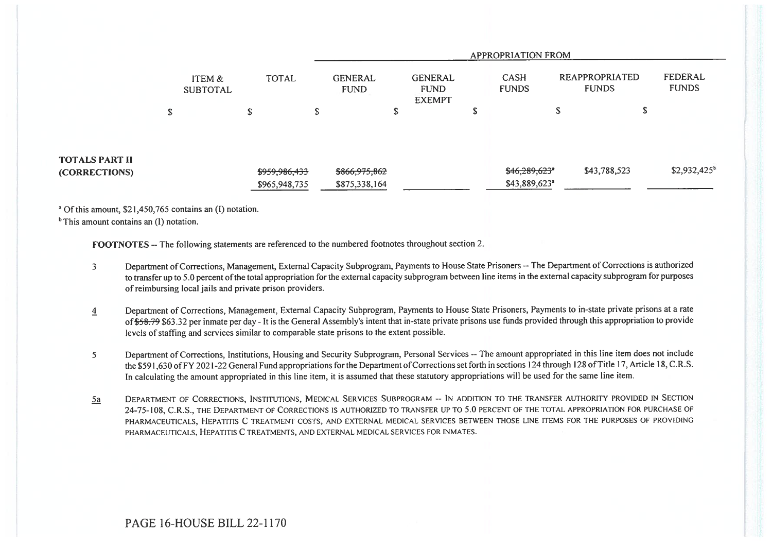|                                        |                           |               |                               |                                                |                             | <b>APPROPRIATION FROM</b>  |                                       |                         |
|----------------------------------------|---------------------------|---------------|-------------------------------|------------------------------------------------|-----------------------------|----------------------------|---------------------------------------|-------------------------|
|                                        | ITEM &<br><b>SUBTOTAL</b> | <b>TOTAL</b>  | <b>GENERAL</b><br><b>FUND</b> | <b>GENERAL</b><br><b>FUND</b><br><b>EXEMPT</b> | <b>CASH</b><br><b>FUNDS</b> |                            | <b>REAPPROPRIATED</b><br><b>FUNDS</b> | FEDERAL<br><b>FUNDS</b> |
|                                        | c<br>ъ                    | ጦ<br>Ф        | ø<br>ъ                        |                                                | ۰D                          | \$                         | Ф                                     |                         |
| <b>TOTALS PART II</b><br>(CORRECTIONS) |                           | \$959,986,433 | \$866,975,862                 |                                                |                             | \$46,289,623"              | \$43,788,523                          | $$2,932,425^b$          |
|                                        |                           | \$965,948,735 | \$875,338,164                 |                                                |                             | $$43,889,623$ <sup>a</sup> |                                       |                         |

a Of this amount, \$21,450,765 contains an (1) notation.

 $<sup>b</sup>$  This amount contains an (I) notation.</sup>

FOOTNOTES -- The following statements are referenced to the numbered footnotes throughout section 2.

- 3 Department of Corrections, Management, External Capacity Subprogram, Payments to House State Prisoners -- The Department of Corrections is authorized to transfer up to 5.0 percent of the total appropriation for the external capacity subprogram between line items in the external capacity subprogram for purposes of reimbursing local jails and private prison providers.
- 4 Department of Corrections, Management, External Capacity Subprogram, Payments to House State Prisoners, Payments to in-state private prisons at a rate of \$58.79 \$63.32 per inmate per day - It is the General Assembly's intent that in-state private prisons use funds provided through this appropriation to provide levels of staffing and services similar to comparable state prisons to the extent possible.
- 5 Department of Corrections, Institutions, Housing and Security Subprogram, Personal Services -- The amount appropriated in this line item does not include the \$591,630 of FY 2021-22 General Fund appropriations for the Department of Corrections set forth in sections 124 through 128 of Title 17, Article 18, C.R.S. In calculating the amount appropriated in this line item, it is assumed that these statutory appropriations will be used for the same line item.
- 5a DEPARTMENT OF CORRECTIONS, INSTITUTIONS, MEDICAL SERVICES SUBPROGRAM -- IN ADDITION TO THE TRANSFER AUTHORITY PROVIDED IN SECTION 24-75-108, C.R.S., THE DEPARTMENT OF CORRECTIONS IS AUTHORIZED TO TRANSFER UP TO 5.0 PERCENT OF THE TOTAL APPROPRIATION FOR PURCHASE OF PHARMACEUTICALS, HEPATITIS C TREATMENT COSTS, AND EXTERNAL MEDICAL SERVICES BETWEEN THOSE LINE ITEMS FOR THE PURPOSES OF PROVIDING PHARMACEUTICALS, HEPATITIS C TREATMENTS, AND EXTERNAL MEDICAL SERVICES FOR INMATES.